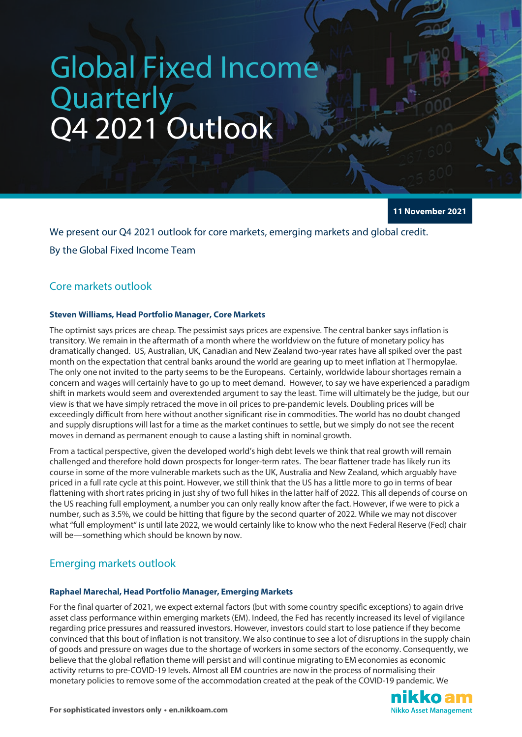# Global Fixed Income **Quarterly** Q4 2021 Outlook

**11 November 2021**

We present our Q4 2021 outlook for core markets, emerging markets and global credit. By the Global Fixed Income Team

## Core markets outlook

#### **Steven Williams, Head Portfolio Manager, Core Markets**

The optimist says prices are cheap. The pessimist says prices are expensive. The central banker says inflation is transitory. We remain in the aftermath of a month where the worldview on the future of monetary policy has dramatically changed. US, Australian, UK, Canadian and New Zealand two-year rates have all spiked over the past month on the expectation that central banks around the world are gearing up to meet inflation at Thermopylae. The only one not invited to the party seems to be the Europeans. Certainly, worldwide labour shortages remain a concern and wages will certainly have to go up to meet demand. However, to say we have experienced a paradigm shift in markets would seem and overextended argument to say the least. Time will ultimately be the judge, but our view is that we have simply retraced the move in oil prices to pre-pandemic levels. Doubling prices will be exceedingly difficult from here without another significant rise in commodities. The world has no doubt changed and supply disruptions will last for a time as the market continues to settle, but we simply do not see the recent moves in demand as permanent enough to cause a lasting shift in nominal growth.

From a tactical perspective, given the developed world's high debt levels we think that real growth will remain challenged and therefore hold down prospects for longer-term rates. The bear flattener trade has likely run its course in some of the more vulnerable markets such as the UK, Australia and New Zealand, which arguably have priced in a full rate cycle at this point. However, we still think that the US has a little more to go in terms of bear flattening with short rates pricing in just shy of two full hikes in the latter half of 2022. This all depends of course on the US reaching full employment, a number you can only really know after the fact. However, if we were to pick a number, such as 3.5%, we could be hitting that figure by the second quarter of 2022. While we may not discover what "full employment" is until late 2022, we would certainly like to know who the next Federal Reserve (Fed) chair will be—something which should be known by now.

## Emerging markets outlook

#### **Raphael Marechal, Head Portfolio Manager, Emerging Markets**

For the final quarter of 2021, we expect external factors (but with some country specific exceptions) to again drive asset class performance within emerging markets (EM). Indeed, the Fed has recently increased its level of vigilance regarding price pressures and reassured investors. However, investors could start to lose patience if they become convinced that this bout of inflation is not transitory. We also continue to see a lot of disruptions in the supply chain of goods and pressure on wages due to the shortage of workers in some sectors of the economy. Consequently, we believe that the global reflation theme will persist and will continue migrating to EM economies as economic activity returns to pre-COVID-19 levels. Almost all EM countries are now in the process of normalising their monetary policies to remove some of the accommodation created at the peak of the COVID-19 pandemic. We

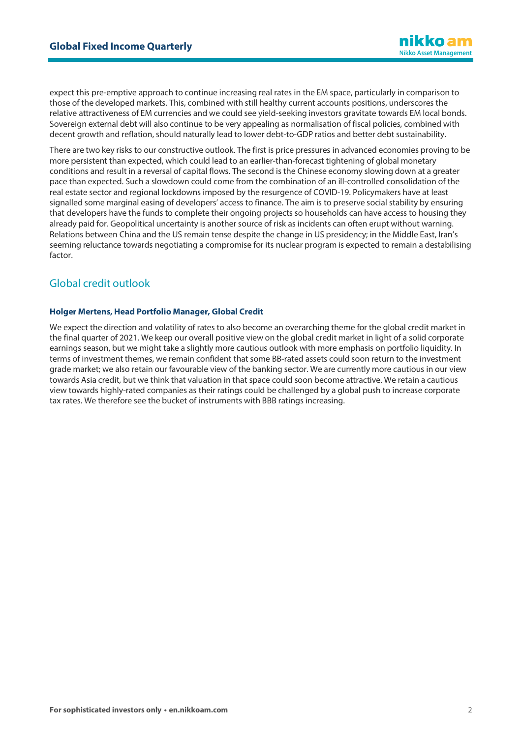expect this pre-emptive approach to continue increasing real rates in the EM space, particularly in comparison to those of the developed markets. This, combined with still healthy current accounts positions, underscores the relative attractiveness of EM currencies and we could see yield-seeking investors gravitate towards EM local bonds. Sovereign external debt will also continue to be very appealing as normalisation of fiscal policies, combined with decent growth and reflation, should naturally lead to lower debt-to-GDP ratios and better debt sustainability.

There are two key risks to our constructive outlook. The first is price pressures in advanced economies proving to be more persistent than expected, which could lead to an earlier-than-forecast tightening of global monetary conditions and result in a reversal of capital flows. The second is the Chinese economy slowing down at a greater pace than expected. Such a slowdown could come from the combination of an ill-controlled consolidation of the real estate sector and regional lockdowns imposed by the resurgence of COVID-19. Policymakers have at least signalled some marginal easing of developers' access to finance. The aim is to preserve social stability by ensuring that developers have the funds to complete their ongoing projectsso households can have access to housing they already paid for. Geopolitical uncertainty is another source of risk as incidents can often erupt without warning. Relations between China and the US remain tense despite the change in US presidency; in the Middle East, Iran's seeming reluctance towards negotiating a compromise for its nuclear program is expected to remain a destabilising factor.

# Global credit outlook

#### **Holger Mertens, Head Portfolio Manager, Global Credit**

We expect the direction and volatility of rates to also become an overarching theme for the global credit market in the final quarter of 2021. We keep our overall positive view on the global credit market in light of a solid corporate earnings season, but we might take a slightly more cautious outlook with more emphasis on portfolio liquidity. In terms of investment themes, we remain confident that some BB-rated assets could soon return to the investment grade market; we also retain our favourable view of the banking sector. We are currently more cautious in our view towards Asia credit, but we think that valuation in that space could soon become attractive. We retain a cautious view towards highly-rated companies as their ratings could be challenged by a global push to increase corporate tax rates. We therefore see the bucket of instruments with BBB ratings increasing.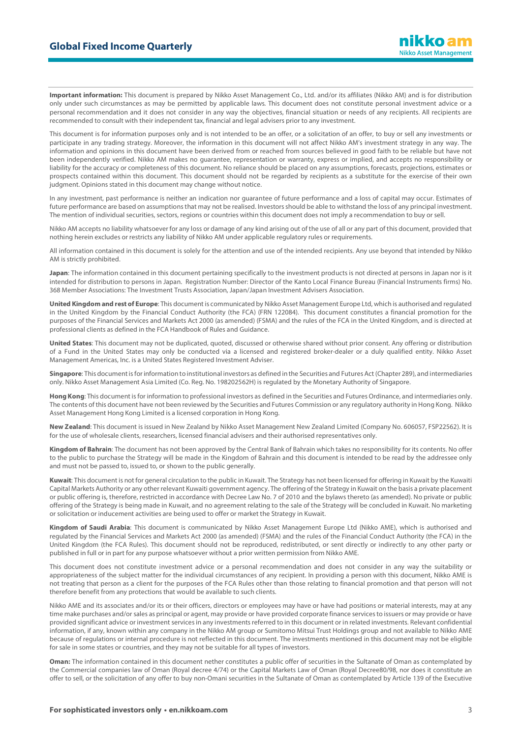**Important information:** This document is prepared by Nikko Asset Management Co., Ltd. and/or its affiliates (Nikko AM) and is for distribution only under such circumstances as may be permitted by applicable laws. This document does not constitute personal investment advice or a personal recommendation and it does not consider in any way the objectives, financial situation or needs of any recipients. All recipients are recommended to consult with their independent tax, financial and legal advisers prior to any investment.

This document is for information purposes only and is not intended to be an offer, or a solicitation of an offer, to buy or sell any investments or participate in any trading strategy. Moreover, the information in this document will not affect Nikko AM's investment strategy in any way. The information and opinions in this document have been derived from or reached from sources believed in good faith to be reliable but have not been independently verified. Nikko AM makes no guarantee, representation or warranty, express or implied, and accepts no responsibility or liability for the accuracy or completeness of this document. No reliance should be placed on any assumptions, forecasts, projections, estimates or prospects contained within this document. This document should not be regarded by recipients as a substitute for the exercise of their own judgment. Opinions stated in this document may change without notice.

In any investment, past performance is neither an indication nor guarantee of future performance and a loss of capital may occur. Estimates of future performance are based on assumptions that may not be realised. Investors should be able to withstand the loss of any principal investment. The mention of individual securities, sectors, regions or countries within this document does not imply a recommendation to buy or sell.

Nikko AM accepts no liability whatsoever for any loss or damage of any kind arising out of the use of all or any part of this document, provided that nothing herein excludes or restricts any liability of Nikko AM under applicable regulatory rules or requirements.

All information contained in this document is solely for the attention and use of the intended recipients. Any use beyond that intended by Nikko AM is strictly prohibited.

**Japan**: The information contained in this document pertaining specifically to the investment products is not directed at persons in Japan nor is it intended for distribution to persons in Japan. Registration Number: Director of the Kanto Local Finance Bureau (Financial Instruments firms) No. 368 Member Associations: The Investment Trusts Association, Japan/Japan Investment Advisers Association.

**United Kingdom and rest of Europe**: This document is communicated by Nikko Asset Management Europe Ltd, which is authorised and regulated in the United Kingdom by the Financial Conduct Authority (the FCA) (FRN 122084). This document constitutes a financial promotion for the purposes of the Financial Services and Markets Act 2000 (as amended) (FSMA) and the rules of the FCA in the United Kingdom, and is directed at professional clients as defined in the FCA Handbook of Rules and Guidance.

**United States**: This document may not be duplicated, quoted, discussed or otherwise shared without prior consent. Any offering or distribution of a Fund in the United States may only be conducted via a licensed and registered broker-dealer or a duly qualified entity. Nikko Asset Management Americas, Inc. is a United States Registered Investment Adviser.

**Singapore**: This document is for information to institutional investors as defined in the Securities and Futures Act (Chapter 289), and intermediaries only. Nikko Asset Management Asia Limited (Co. Reg. No. 198202562H) is regulated by the Monetary Authority of Singapore.

**Hong Kong**: This document is for information to professional investors as defined in the Securities and Futures Ordinance, and intermediaries only. The contents of this document have not been reviewed by the Securities and Futures Commission or any regulatory authority in Hong Kong. Nikko Asset Management Hong Kong Limited is a licensed corporation in Hong Kong.

**New Zealand**: This document is issued in New Zealand by Nikko Asset Management New Zealand Limited (Company No. 606057, FSP22562). It is for the use of wholesale clients, researchers, licensed financial advisers and their authorised representatives only.

**Kingdom of Bahrain**: The document has not been approved by the Central Bank of Bahrain which takes no responsibility for its contents. No offer to the public to purchase the Strategy will be made in the Kingdom of Bahrain and this document is intended to be read by the addressee only and must not be passed to, issued to, or shown to the public generally.

**Kuwait**: This document is not for general circulation to the public in Kuwait. The Strategy has not been licensed for offering in Kuwait by the Kuwaiti Capital Markets Authority or any other relevant Kuwaiti government agency. The offering of the Strategy in Kuwait on the basis a private placement or public offering is, therefore, restricted in accordance with Decree Law No. 7 of 2010 and the bylaws thereto (as amended). No private or public offering of the Strategy is being made in Kuwait, and no agreement relating to the sale of the Strategy will be concluded in Kuwait. No marketing or solicitation or inducement activities are being used to offer or market the Strategy in Kuwait.

**Kingdom of Saudi Arabia**: This document is communicated by Nikko Asset Management Europe Ltd (Nikko AME), which is authorised and regulated by the Financial Services and Markets Act 2000 (as amended) (FSMA) and the rules of the Financial Conduct Authority (the FCA) in the United Kingdom (the FCA Rules). This document should not be reproduced, redistributed, or sent directly or indirectly to any other party or published in full or in part for any purpose whatsoever without a prior written permission from Nikko AME.

This document does not constitute investment advice or a personal recommendation and does not consider in any way the suitability or appropriateness of the subject matter for the individual circumstances of any recipient. In providing a person with this document, Nikko AME is not treating that person as a client for the purposes of the FCA Rules other than those relating to financial promotion and that person will not therefore benefit from any protections that would be available to such clients.

Nikko AME and its associates and/or its or their officers, directors or employees may have or have had positions or material interests, may at any time make purchases and/or sales as principal or agent, may provide or have provided corporate finance services to issuers or may provide or have provided significant advice or investment services in any investments referred to in this document or in related investments. Relevant confidential information, if any, known within any company in the Nikko AM group or Sumitomo Mitsui Trust Holdings group and not available to Nikko AME because of regulations or internal procedure is not reflected in this document. The investments mentioned in this document may not be eligible for sale in some states or countries, and they may not be suitable for all types of investors.

**Oman:** The information contained in this document nether constitutes a public offer of securities in the Sultanate of Oman as contemplated by the Commercial companies law of Oman (Royal decree 4/74) or the Capital Markets Law of Oman (Royal Decree80/98, nor does it constitute an offer to sell, or the solicitation of any offer to buy non-Omani securities in the Sultanate of Oman as contemplated by Article 139 of the Executive